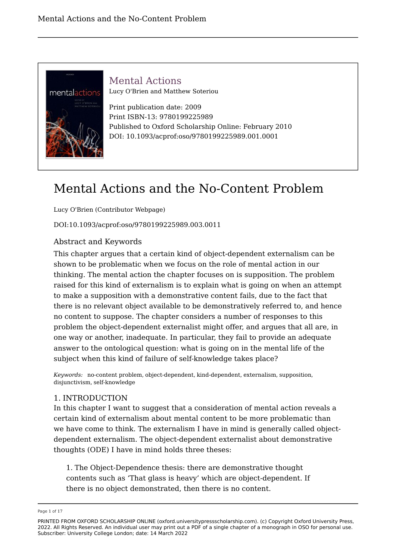

[Mental Actions](https://oxford.universitypressscholarship.com/view/10.1093/acprof:oso/9780199225989.001.0001/acprof-9780199225989) Lucy O'Brien and Matthew Soteriou

Print publication date: 2009 Print ISBN-13: 9780199225989 Published to Oxford Scholarship Online: February 2010 DOI: 10.1093/acprof:oso/9780199225989.001.0001

# Mental Actions and the No‐Content Problem

Lucy O'Brien ([Contributor Webpage](http://www.ucl.ac.uk/philosophy/staff/lob.html))

DOI:10.1093/acprof:oso/9780199225989.003.0011

# Abstract and Keywords

This chapter argues that a certain kind of object-dependent externalism can be shown to be problematic when we focus on the role of mental action in our thinking. The mental action the chapter focuses on is supposition. The problem raised for this kind of externalism is to explain what is going on when an attempt to make a supposition with a demonstrative content fails, due to the fact that there is no relevant object available to be demonstratively referred to, and hence no content to suppose. The chapter considers a number of responses to this problem the object-dependent externalist might offer, and argues that all are, in one way or another, inadequate. In particular, they fail to provide an adequate answer to the ontological question: what is going on in the mental life of the subject when this kind of failure of self-knowledge takes place?

*Keywords:* [no-content problem,](https://www.universitypressscholarship.com/search?f_0=keywords&q_0=no-content problem) [object-dependent](https://www.universitypressscholarship.com/search?f_0=keywords&q_0=object-dependent), [kind-dependent](https://www.universitypressscholarship.com/search?f_0=keywords&q_0=kind-dependent), [externalism](https://www.universitypressscholarship.com/search?f_0=keywords&q_0=externalism), [supposition](https://www.universitypressscholarship.com/search?f_0=keywords&q_0=supposition), [disjunctivism](https://www.universitypressscholarship.com/search?f_0=keywords&q_0=disjunctivism), [self-knowledge](https://www.universitypressscholarship.com/search?f_0=keywords&q_0=self-knowledge)

# 1. INTRODUCTION

In this chapter I want to suggest that a consideration of mental action reveals a certain kind of externalism about mental content to be more problematic than we have come to think. The externalism I have in mind is generally called objectdependent externalism. The object-dependent externalist about demonstrative thoughts (ODE) I have in mind holds three theses:

1. The Object‐Dependence thesis: there are demonstrative thought contents such as 'That glass is heavy' which are object-dependent. If there is no object demonstrated, then there is no content.

Page 1 of 17

PRINTED FROM OXFORD SCHOLARSHIP ONLINE (oxford.universitypressscholarship.com). (c) Copyright Oxford University Press, 2022. All Rights Reserved. An individual user may print out a PDF of a single chapter of a monograph in OSO for personal use. Subscriber: University College London; date: 14 March 2022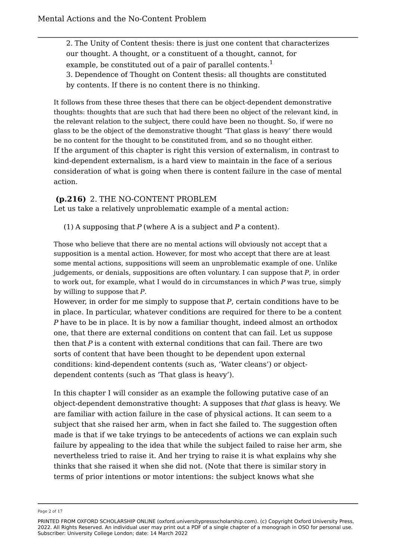<span id="page-1-0"></span>2. The Unity of Content thesis: there is just one content that characterizes our thought. A thought, or a constituent of a thought, cannot, for example, be constituted out of a pair of parallel contents.<sup>[1](#page-15-0)</sup> 3. Dependence of Thought on Content thesis: all thoughts are constituted by contents. If there is no content there is no thinking.

It follows from these three theses that there can be object-dependent demonstrative thoughts: thoughts that are such that had there been no object of the relevant kind, in the relevant relation to the subject, there could have been no thought. So, if were no glass to be the object of the demonstrative thought 'That glass is heavy' there would be no content for the thought to be constituted from, and so no thought either. If the argument of this chapter is right this version of externalism, in contrast to kind-dependent externalism, is a hard view to maintain in the face of a serious consideration of what is going when there is content failure in the case of mental action.

# **(p.216)** 2. THE NO‐CONTENT PROBLEM

Let us take a relatively unproblematic example of a mental action:

(1) A supposing that *P* (where A is a subject and *P* a content).

Those who believe that there are no mental actions will obviously not accept that a supposition is a mental action. However, for most who accept that there are at least some mental actions, suppositions will seem an unproblematic example of one. Unlike judgements, or denials, suppositions are often voluntary. I can suppose that *P*, in order to work out, for example, what I would do in circumstances in which *P* was true, simply by willing to suppose that *P*.

However, in order for me simply to suppose that *P*, certain conditions have to be in place. In particular, whatever conditions are required for there to be a content *P* have to be in place. It is by now a familiar thought, indeed almost an orthodox one, that there are external conditions on content that can fail. Let us suppose then that *P* is a content with external conditions that can fail. There are two sorts of content that have been thought to be dependent upon external conditions: kind‐dependent contents (such as, 'Water cleans') or object‐ dependent contents (such as 'That glass is heavy').

In this chapter I will consider as an example the following putative case of an object‐dependent demonstrative thought: A supposes that *that* glass is heavy. We are familiar with action failure in the case of physical actions. It can seem to a subject that she raised her arm, when in fact she failed to. The suggestion often made is that if we take tryings to be antecedents of actions we can explain such failure by appealing to the idea that while the subject failed to raise her arm, she nevertheless tried to raise it. And her trying to raise it is what explains why she thinks that she raised it when she did not. (Note that there is similar story in terms of prior intentions or motor intentions: the subject knows what she

Page 2 of 17

PRINTED FROM OXFORD SCHOLARSHIP ONLINE (oxford.universitypressscholarship.com). (c) Copyright Oxford University Press, 2022. All Rights Reserved. An individual user may print out a PDF of a single chapter of a monograph in OSO for personal use. Subscriber: University College London; date: 14 March 2022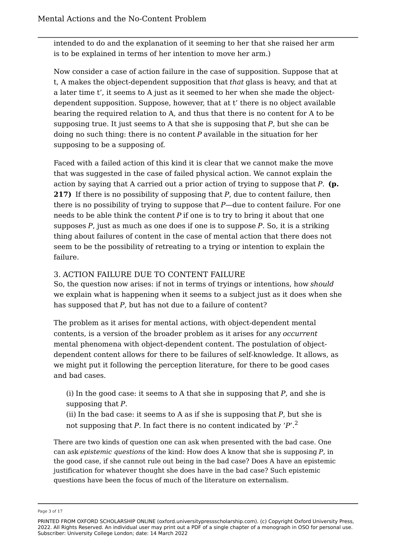intended to do and the explanation of it seeming to her that she raised her arm is to be explained in terms of her intention to move her arm.)

Now consider a case of action failure in the case of supposition. Suppose that at t, A makes the object‐dependent supposition that *that* glass is heavy, and that at a later time t', it seems to A just as it seemed to her when she made the object‐ dependent supposition. Suppose, however, that at t' there is no object available bearing the required relation to A, and thus that there is no content for A to be supposing true. It just seems to A that she is supposing that *P*, but she can be doing no such thing: there is no content *P* available in the situation for her supposing to be a supposing of.

Faced with a failed action of this kind it is clear that we cannot make the move that was suggested in the case of failed physical action. We cannot explain the action by saying that A carried out a prior action of trying to suppose that *P*. **(p. 217)** If there is no possibility of supposing that *P*, due to content failure, then there is no possibility of trying to suppose that *P*—due to content failure. For one needs to be able think the content *P* if one is to try to bring it about that one supposes *P*, just as much as one does if one is to suppose *P*. So, it is a striking thing about failures of content in the case of mental action that there does not seem to be the possibility of retreating to a trying or intention to explain the failure.

# 3. ACTION FAILURE DUE TO CONTENT FAILURE

So, the question now arises: if not in terms of tryings or intentions, how *should* we explain what is happening when it seems to a subject just as it does when she has supposed that *P*, but has not due to a failure of content?

The problem as it arises for mental actions, with object-dependent mental contents, is a version of the broader problem as it arises for any *occurrent* mental phenomena with object-dependent content. The postulation of objectdependent content allows for there to be failures of self-knowledge. It allows, as we might put it following the perception literature, for there to be good cases and bad cases.

(i) In the good case: it seems to A that she in supposing that *P*, and she is supposing that *P*.

<span id="page-2-0"></span>(ii) In the bad case: it seems to A as if she is supposing that *P*, but she is not supposing that *P*. In fact there is no content indicated by '*P*'.[2](#page-15-1)

There are two kinds of question one can ask when presented with the bad case. One can ask *epistemic questions* of the kind: How does A know that she is supposing *P*, in the good case, if she cannot rule out being in the bad case? Does A have an epistemic justification for whatever thought she does have in the bad case? Such epistemic questions have been the focus of much of the literature on externalism.

Page 3 of 17

PRINTED FROM OXFORD SCHOLARSHIP ONLINE (oxford.universitypressscholarship.com). (c) Copyright Oxford University Press, 2022. All Rights Reserved. An individual user may print out a PDF of a single chapter of a monograph in OSO for personal use. Subscriber: University College London; date: 14 March 2022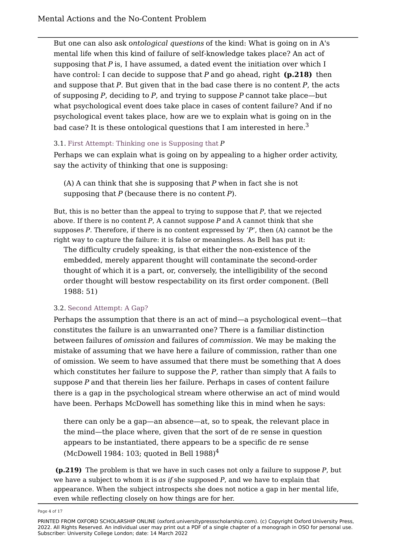But one can also ask o*ntological questions* of the kind: What is going on in A's mental life when this kind of failure of self‐knowledge takes place? An act of supposing that  $P$  is, I have assumed, a dated event the initiation over which I have control: I can decide to suppose that *P* and go ahead, right **(p.218)** then and suppose that *P*. But given that in the bad case there is no content *P*, the acts of supposing *P*, deciding to *P*, and trying to suppose *P* cannot take place—but what psychological event does take place in cases of content failure? And if no psychological event takes place, how are we to explain what is going on in the bad case? It is these ontological questions that I am interested in here.<sup>[3](#page-15-2)</sup>

# 3.1. First Attempt: Thinking one is Supposing that *P*

Perhaps we can explain what is going on by appealing to a higher order activity, say the activity of thinking that one is supposing:

<span id="page-3-0"></span>(A) A can think that she is supposing that *P* when in fact she is not supposing that *P* (because there is no content *P*).

But, this is no better than the appeal to trying to suppose that *P*, that we rejected above. If there is no content *P*, A cannot suppose *P* and A cannot think that she supposes *P*. Therefore, if there is no content expressed by '*P*', then (A) cannot be the right way to capture the failure: it is false or meaningless. As Bell has put it:

The difficulty crudely speaking, is that either the non‐existence of the embedded, merely apparent thought will contaminate the second‐order thought of which it is a part, or, conversely, the intelligibility of the second order thought will bestow respectability on its first order component. (Bell [1988](https://oxford.universitypressscholarship.com/view/10.1093/acprof:oso/9780199225989.001.0001/acprof-9780199225989-chapter-11#acprof-9780199225989-bibItem-199): 51)

# 3.2. Second Attempt: A Gap?

Perhaps the assumption that there is an act of mind—a psychological event—that constitutes the failure is an unwarranted one? There is a familiar distinction between failures of *omission* and failures of *commission*. We may be making the mistake of assuming that we have here a failure of commission, rather than one of omission. We seem to have assumed that there must be something that A does which constitutes her failure to suppose the *P*, rather than simply that A fails to suppose *P* and that therein lies her failure. Perhaps in cases of content failure there is a gap in the psychological stream where otherwise an act of mind would have been. Perhaps McDowell has something like this in mind when he says:

<span id="page-3-1"></span>there can only be a gap—an absence—at, so to speak, the relevant place in the mind—the place where, given that the sort of de re sense in question appears to be instantiated, there appears to be a specific de re sense (McDowell [1984:](https://oxford.universitypressscholarship.com/view/10.1093/acprof:oso/9780199225989.001.0001/acprof-9780199225989-chapter-11#acprof-9780199225989-bibItem-201) 103; quoted in Bell [1988](https://oxford.universitypressscholarship.com/view/10.1093/acprof:oso/9780199225989.001.0001/acprof-9780199225989-chapter-11#acprof-9780199225989-bibItem-199)) $<sup>4</sup>$  $<sup>4</sup>$  $<sup>4</sup>$ </sup>

 **(p.219)** The problem is that we have in such cases not only a failure to suppose *P*, but we have a subject to whom it is *as if* she supposed *P*, and we have to explain that appearance. When the subject introspects she does not notice a gap in her mental life, even while reflecting closely on how things are for her.

Page 4 of 17

PRINTED FROM OXFORD SCHOLARSHIP ONLINE (oxford.universitypressscholarship.com). (c) Copyright Oxford University Press, 2022. All Rights Reserved. An individual user may print out a PDF of a single chapter of a monograph in OSO for personal use. Subscriber: University College London; date: 14 March 2022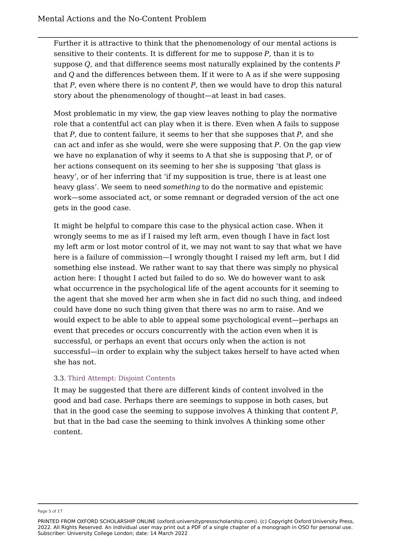Further it is attractive to think that the phenomenology of our mental actions is sensitive to their contents. It is different for me to suppose *P*, than it is to suppose *Q*, and that difference seems most naturally explained by the contents *P* and *Q* and the differences between them. If it were to A as if she were supposing that  $P$ , even where there is no content  $P$ , then we would have to drop this natural story about the phenomenology of thought—at least in bad cases.

Most problematic in my view, the gap view leaves nothing to play the normative role that a contentful act can play when it is there. Even when A fails to suppose that *P*, due to content failure, it seems to her that she supposes that *P*, and she can act and infer as she would, were she were supposing that *P*. On the gap view we have no explanation of why it seems to A that she is supposing that *P*, or of her actions consequent on its seeming to her she is supposing 'that glass is heavy', or of her inferring that 'if my supposition is true, there is at least one heavy glass'. We seem to need *something* to do the normative and epistemic work—some associated act, or some remnant or degraded version of the act one gets in the good case.

It might be helpful to compare this case to the physical action case. When it wrongly seems to me as if I raised my left arm, even though I have in fact lost my left arm or lost motor control of it, we may not want to say that what we have here is a failure of commission—I wrongly thought I raised my left arm, but I did something else instead. We rather want to say that there was simply no physical action here: I thought I acted but failed to do so. We do however want to ask what occurrence in the psychological life of the agent accounts for it seeming to the agent that she moved her arm when she in fact did no such thing, and indeed could have done no such thing given that there was no arm to raise. And we would expect to be able to able to appeal some psychological event—perhaps an event that precedes or occurs concurrently with the action even when it is successful, or perhaps an event that occurs only when the action is not successful—in order to explain why the subject takes herself to have acted when she has not.

# 3.3. Third Attempt: Disjoint Contents

It may be suggested that there are different kinds of content involved in the good and bad case. Perhaps there are seemings to suppose in both cases, but that in the good case the seeming to suppose involves A thinking that content *P*, but that in the bad case the seeming to think involves A thinking some other content.

#### Page 5 of 17

PRINTED FROM OXFORD SCHOLARSHIP ONLINE (oxford.universitypressscholarship.com). (c) Copyright Oxford University Press, 2022. All Rights Reserved. An individual user may print out a PDF of a single chapter of a monograph in OSO for personal use. Subscriber: University College London; date: 14 March 2022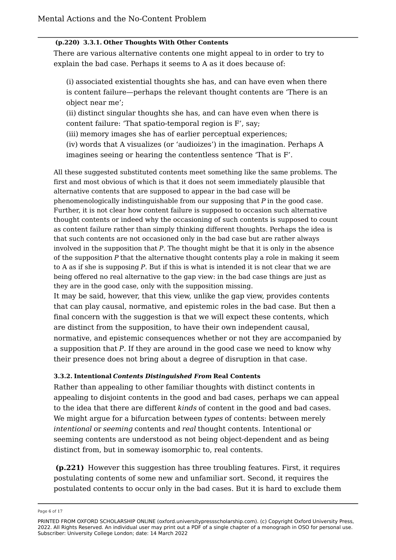### **(p.220) 3.3.1. Other Thoughts With Other Contents**

There are various alternative contents one might appeal to in order to try to explain the bad case. Perhaps it seems to A as it does because of:

(i) associated existential thoughts she has, and can have even when there is content failure—perhaps the relevant thought contents are 'There is an object near me';

(ii) distinct singular thoughts she has, and can have even when there is content failure: 'That spatio-temporal region is F', say;

(iii) memory images she has of earlier perceptual experiences;

(iv) words that A visualizes (or 'audioizes') in the imagination. Perhaps A imagines seeing or hearing the contentless sentence 'That is F'.

All these suggested substituted contents meet something like the same problems. The first and most obvious of which is that it does not seem immediately plausible that alternative contents that are supposed to appear in the bad case will be phenomenologically indistinguishable from our supposing that *P* in the good case. Further, it is not clear how content failure is supposed to occasion such alternative thought contents or indeed why the occasioning of such contents is supposed to count as content failure rather than simply thinking different thoughts. Perhaps the idea is that such contents are not occasioned only in the bad case but are rather always involved in the supposition that *P*. The thought might be that it is only in the absence of the supposition *P* that the alternative thought contents play a role in making it seem to A as if she is supposing *P*. But if this is what is intended it is not clear that we are being offered no real alternative to the gap view: in the bad case things are just as they are in the good case, only with the supposition missing.

It may be said, however, that this view, unlike the gap view, provides contents that can play causal, normative, and epistemic roles in the bad case. But then a final concern with the suggestion is that we will expect these contents, which are distinct from the supposition, to have their own independent causal, normative, and epistemic consequences whether or not they are accompanied by a supposition that *P*. If they are around in the good case we need to know why their presence does not bring about a degree of disruption in that case.

# **3.3.2. Intentional** *Contents Distinguished From* **Real Contents**

Rather than appealing to other familiar thoughts with distinct contents in appealing to disjoint contents in the good and bad cases, perhaps we can appeal to the idea that there are different *kinds* of content in the good and bad cases. We might argue for a bifurcation between *types* of contents: between merely *intentional* or *seeming* contents and *real* thought contents. Intentional or seeming contents are understood as not being object-dependent and as being distinct from, but in someway isomorphic to, real contents.

 **(p.221)** However this suggestion has three troubling features. First, it requires postulating contents of some new and unfamiliar sort. Second, it requires the postulated contents to occur only in the bad cases. But it is hard to exclude them

Page 6 of 17

PRINTED FROM OXFORD SCHOLARSHIP ONLINE (oxford.universitypressscholarship.com). (c) Copyright Oxford University Press, 2022. All Rights Reserved. An individual user may print out a PDF of a single chapter of a monograph in OSO for personal use. Subscriber: University College London; date: 14 March 2022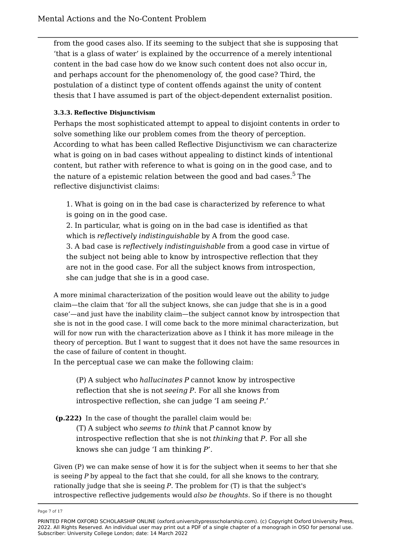from the good cases also. If its seeming to the subject that she is supposing that 'that is a glass of water' is explained by the occurrence of a merely intentional content in the bad case how do we know such content does not also occur in, and perhaps account for the phenomenology of, the good case? Third, the postulation of a distinct type of content offends against the unity of content thesis that I have assumed is part of the object‐dependent externalist position.

# **3.3.3. Reflective Disjunctivism**

Perhaps the most sophisticated attempt to appeal to disjoint contents in order to solve something like our problem comes from the theory of perception. According to what has been called Reflective Disjunctivism we can characterize what is going on in bad cases without appealing to distinct kinds of intentional content, but rather with reference to what is going on in the good case, and to the nature of a epistemic relation between the good and bad cases.<sup>[5](#page-15-4)</sup> The reflective disjunctivist claims:

<span id="page-6-0"></span>1. What is going on in the bad case is characterized by reference to what is going on in the good case.

2. In particular, what is going on in the bad case is identified as that which is *reflectively indistinguishable* by A from the good case. 3. A bad case is *reflectively indistinguishable* from a good case in virtue of the subject not being able to know by introspective reflection that they are not in the good case. For all the subject knows from introspection, she can judge that she is in a good case.

A more minimal characterization of the position would leave out the ability to judge claim—the claim that 'for all the subject knows, she can judge that she is in a good case'—and just have the inability claim—the subject cannot know by introspection that she is not in the good case. I will come back to the more minimal characterization, but will for now run with the characterization above as I think it has more mileage in the theory of perception. But I want to suggest that it does not have the same resources in the case of failure of content in thought.

In the perceptual case we can make the following claim:

(P) A subject who *hallucinates P* cannot know by introspective reflection that she is not *seeing P*. For all she knows from introspective reflection, she can judge 'I am seeing *P*.'

**(p.222)** In the case of thought the parallel claim would be:

(T) A subject who *seems to think* that *P* cannot know by introspective reflection that she is not *thinking* that *P*. For all she knows she can judge 'I am thinking *P*'.

Given (P) we can make sense of how it is for the subject when it seems to her that she is seeing *P* by appeal to the fact that she could, for all she knows to the contrary, rationally judge that she is seeing *P*. The problem for (T) is that the subject's introspective reflective judgements would *also be thoughts*. So if there is no thought

Page 7 of 17

PRINTED FROM OXFORD SCHOLARSHIP ONLINE (oxford.universitypressscholarship.com). (c) Copyright Oxford University Press, 2022. All Rights Reserved. An individual user may print out a PDF of a single chapter of a monograph in OSO for personal use. Subscriber: University College London; date: 14 March 2022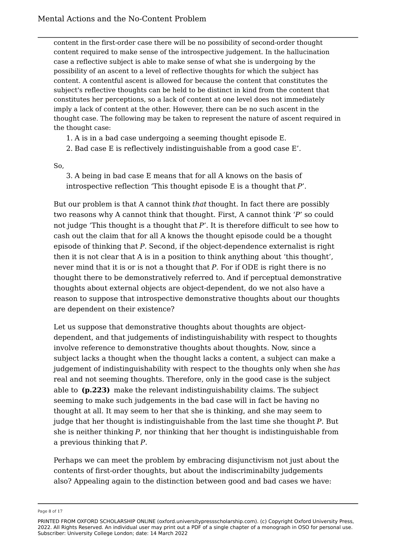content in the first-order case there will be no possibility of second-order thought content required to make sense of the introspective judgement. In the hallucination case a reflective subject is able to make sense of what she is undergoing by the possibility of an ascent to a level of reflective thoughts for which the subject has content. A contentful ascent is allowed for because the content that constitutes the subject's reflective thoughts can be held to be distinct in kind from the content that constitutes her perceptions, so a lack of content at one level does not immediately imply a lack of content at the other. However, there can be no such ascent in the thought case. The following may be taken to represent the nature of ascent required in the thought case:

1. A is in a bad case undergoing a seeming thought episode E.

2. Bad case E is reflectively indistinguishable from a good case E'.

So,

3. A being in bad case E means that for all A knows on the basis of introspective reflection 'This thought episode E is a thought that *P*'.

But our problem is that A cannot think *that* thought. In fact there are possibly two reasons why A cannot think that thought. First, A cannot think '*P*' so could not judge 'This thought is a thought that *P*'. It is therefore difficult to see how to cash out the claim that for all A knows the thought episode could be a thought episode of thinking that *P*. Second, if the object-dependence externalist is right then it is not clear that A is in a position to think anything about 'this thought', never mind that it is or is not a thought that *P*. For if ODE is right there is no thought there to be demonstratively referred to. And if perceptual demonstrative thoughts about external objects are object‐dependent, do we not also have a reason to suppose that introspective demonstrative thoughts about our thoughts are dependent on their existence?

Let us suppose that demonstrative thoughts about thoughts are objectdependent, and that judgements of indistinguishability with respect to thoughts involve reference to demonstrative thoughts about thoughts. Now, since a subject lacks a thought when the thought lacks a content, a subject can make a judgement of indistinguishability with respect to the thoughts only when she *has* real and not seeming thoughts. Therefore, only in the good case is the subject able to **(p.223)** make the relevant indistinguishability claims. The subject seeming to make such judgements in the bad case will in fact be having no thought at all. It may seem to her that she is thinking, and she may seem to judge that her thought is indistinguishable from the last time she thought *P*. But she is neither thinking *P*, nor thinking that her thought is indistinguishable from a previous thinking that *P*.

Perhaps we can meet the problem by embracing disjunctivism not just about the contents of first‐order thoughts, but about the indiscriminabilty judgements also? Appealing again to the distinction between good and bad cases we have:

Page 8 of 17

PRINTED FROM OXFORD SCHOLARSHIP ONLINE (oxford.universitypressscholarship.com). (c) Copyright Oxford University Press, 2022. All Rights Reserved. An individual user may print out a PDF of a single chapter of a monograph in OSO for personal use. Subscriber: University College London; date: 14 March 2022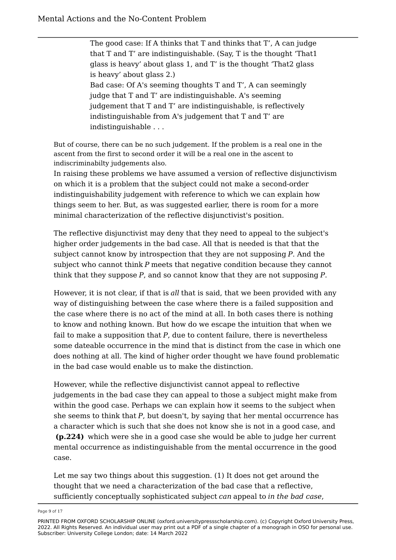The good case: If A thinks that T and thinks that T', A can judge that T and T' are indistinguishable. (Say, T is the thought 'That1 glass is heavy' about glass 1, and T' is the thought 'That2 glass is heavy' about glass 2.) Bad case: Of A's seeming thoughts T and T', A can seemingly judge that T and T' are indistinguishable. A's seeming judgement that T and T' are indistinguishable, is reflectively indistinguishable from A's judgement that T and T' are indistinguishable . . .

But of course, there can be no such judgement. If the problem is a real one in the ascent from the first to second order it will be a real one in the ascent to indiscriminabilty judgements also.

In raising these problems we have assumed a version of reflective disjunctivism on which it is a problem that the subject could not make a second‐order indistinguishability judgement with reference to which we can explain how things seem to her. But, as was suggested earlier, there is room for a more minimal characterization of the reflective disjunctivist's position.

The reflective disjunctivist may deny that they need to appeal to the subject's higher order judgements in the bad case. All that is needed is that that the subject cannot know by introspection that they are not supposing *P*. And the subject who cannot think *P* meets that negative condition because they cannot think that they suppose *P*, and so cannot know that they are not supposing *P*.

However, it is not clear, if that is *all* that is said, that we been provided with any way of distinguishing between the case where there is a failed supposition and the case where there is no act of the mind at all. In both cases there is nothing to know and nothing known. But how do we escape the intuition that when we fail to make a supposition that *P*, due to content failure, there is nevertheless some dateable occurrence in the mind that is distinct from the case in which one does nothing at all. The kind of higher order thought we have found problematic in the bad case would enable us to make the distinction.

However, while the reflective disjunctivist cannot appeal to reflective judgements in the bad case they can appeal to those a subject might make from within the good case. Perhaps we can explain how it seems to the subject when she seems to think that *P*, but doesn't, by saying that her mental occurrence has a character which is such that she does not know she is not in a good case, and **(p.224)** which were she in a good case she would be able to judge her current mental occurrence as indistinguishable from the mental occurrence in the good case.

Let me say two things about this suggestion. (1) It does not get around the thought that we need a characterization of the bad case that a reflective, sufficiently conceptually sophisticated subject *can* appeal to *in the bad case*,

Page 9 of 17

PRINTED FROM OXFORD SCHOLARSHIP ONLINE (oxford.universitypressscholarship.com). (c) Copyright Oxford University Press, 2022. All Rights Reserved. An individual user may print out a PDF of a single chapter of a monograph in OSO for personal use. Subscriber: University College London; date: 14 March 2022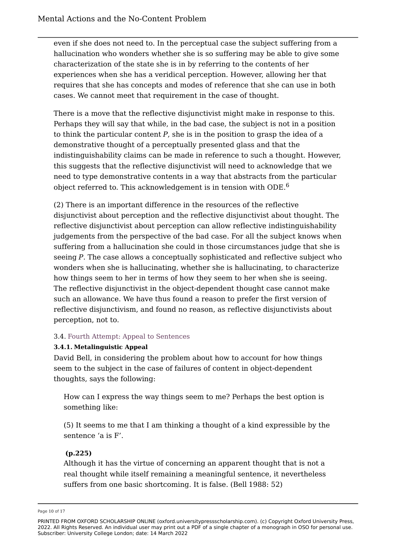even if she does not need to. In the perceptual case the subject suffering from a hallucination who wonders whether she is so suffering may be able to give some characterization of the state she is in by referring to the contents of her experiences when she has a veridical perception. However, allowing her that requires that she has concepts and modes of reference that she can use in both cases. We cannot meet that requirement in the case of thought.

There is a move that the reflective disjunctivist might make in response to this. Perhaps they will say that while, in the bad case, the subject is not in a position to think the particular content *P*, she is in the position to grasp the idea of a demonstrative thought of a perceptually presented glass and that the indistinguishability claims can be made in reference to such a thought. However, this suggests that the reflective disjunctivist will need to acknowledge that we need to type demonstrative contents in a way that abstracts from the particular object referred to. This acknowledgement is in tension with ODE.<sup>[6](#page-15-5)</sup>

<span id="page-9-0"></span>(2) There is an important difference in the resources of the reflective disjunctivist about perception and the reflective disjunctivist about thought. The reflective disjunctivist about perception can allow reflective indistinguishability judgements from the perspective of the bad case. For all the subject knows when suffering from a hallucination she could in those circumstances judge that she is seeing *P*. The case allows a conceptually sophisticated and reflective subject who wonders when she is hallucinating, whether she is hallucinating, to characterize how things seem to her in terms of how they seem to her when she is seeing. The reflective disjunctivist in the object-dependent thought case cannot make such an allowance. We have thus found a reason to prefer the first version of reflective disjunctivism, and found no reason, as reflective disjunctivists about perception, not to.

# 3.4. Fourth Attempt: Appeal to Sentences

# **3.4.1. Metalinguistic Appeal**

David Bell, in considering the problem about how to account for how things seem to the subject in the case of failures of content in object-dependent thoughts, says the following:

How can I express the way things seem to me? Perhaps the best option is something like:

(5) It seems to me that I am thinking a thought of a kind expressible by the sentence 'a is F'.

# **(p.225)**

Although it has the virtue of concerning an apparent thought that is not a real thought while itself remaining a meaningful sentence, it nevertheless suffers from one basic shortcoming. It is false. (Bell [1988:](https://oxford.universitypressscholarship.com/view/10.1093/acprof:oso/9780199225989.001.0001/acprof-9780199225989-chapter-11#acprof-9780199225989-bibItem-199) 52)

Page 10 of 17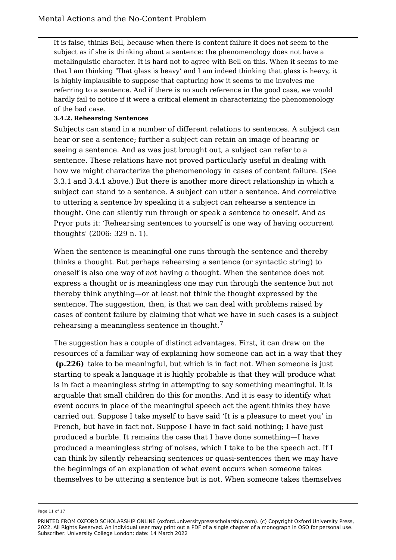It is false, thinks Bell, because when there is content failure it does not seem to the subject as if she is thinking about a sentence: the phenomenology does not have a metalinguistic character. It is hard not to agree with Bell on this. When it seems to me that I am thinking 'That glass is heavy' and I am indeed thinking that glass is heavy, it is highly implausible to suppose that capturing how it seems to me involves me referring to a sentence. And if there is no such reference in the good case, we would hardly fail to notice if it were a critical element in characterizing the phenomenology of the bad case.

### **3.4.2. Rehearsing Sentences**

Subjects can stand in a number of different relations to sentences. A subject can hear or see a sentence; further a subject can retain an image of hearing or seeing a sentence. And as was just brought out, a subject can refer to a sentence. These relations have not proved particularly useful in dealing with how we might characterize the phenomenology in cases of content failure. (See [3.3.1](https://oxford.universitypressscholarship.com/view/10.1093/acprof:oso/9780199225989.001.0001/acprof-9780199225989-chapter-11#acprof-9780199225989-div3-1) and [3.4.1](https://oxford.universitypressscholarship.com/view/10.1093/acprof:oso/9780199225989.001.0001/acprof-9780199225989-chapter-11#acprof-9780199225989-div3-4) above.) But there is another more direct relationship in which a subject can stand to a sentence. A subject can utter a sentence. And correlative to uttering a sentence by speaking it a subject can rehearse a sentence in thought. One can silently run through or speak a sentence to oneself. And as Pryor puts it: 'Rehearsing sentences to yourself is one way of having occurrent thoughts' [\(2006:](https://oxford.universitypressscholarship.com/view/10.1093/acprof:oso/9780199225989.001.0001/acprof-9780199225989-chapter-11#acprof-9780199225989-bibItem-205) 329 n. 1).

When the sentence is meaningful one runs through the sentence and thereby thinks a thought. But perhaps rehearsing a sentence (or syntactic string) to oneself is also one way of *not* having a thought. When the sentence does not express a thought or is meaningless one may run through the sentence but not thereby think anything—or at least not think the thought expressed by the sentence. The suggestion, then, is that we can deal with problems raised by cases of content failure by claiming that what we have in such cases is a subject rehearsing a meaningless sentence in thought.<sup>[7](#page-15-6)</sup>

<span id="page-10-0"></span>The suggestion has a couple of distinct advantages. First, it can draw on the resources of a familiar way of explaining how someone can act in a way that they **(p.226)** take to be meaningful, but which is in fact not. When someone is just starting to speak a language it is highly probable is that they will produce what is in fact a meaningless string in attempting to say something meaningful. It is arguable that small children do this for months. And it is easy to identify what event occurs in place of the meaningful speech act the agent thinks they have carried out. Suppose I take myself to have said 'It is a pleasure to meet you' in French, but have in fact not. Suppose I have in fact said nothing; I have just produced a burble. It remains the case that I have done something—I have produced a meaningless string of noises, which I take to be the speech act. If I can think by silently rehearsing sentences or quasi-sentences then we may have the beginnings of an explanation of what event occurs when someone takes themselves to be uttering a sentence but is not. When someone takes themselves

Page 11 of 17

PRINTED FROM OXFORD SCHOLARSHIP ONLINE (oxford.universitypressscholarship.com). (c) Copyright Oxford University Press, 2022. All Rights Reserved. An individual user may print out a PDF of a single chapter of a monograph in OSO for personal use. Subscriber: University College London; date: 14 March 2022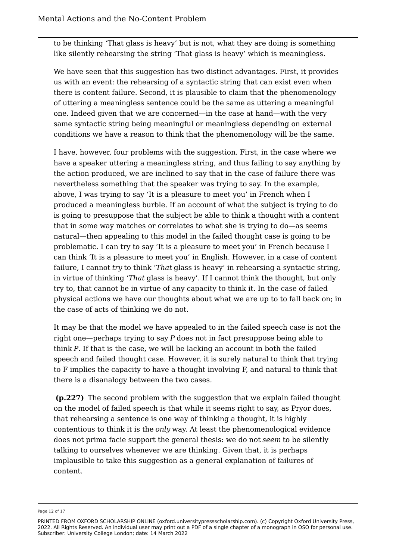to be thinking 'That glass is heavy' but is not, what they are doing is something like silently rehearsing the string 'That glass is heavy' which is meaningless.

We have seen that this suggestion has two distinct advantages. First, it provides us with an event: the rehearsing of a syntactic string that can exist even when there is content failure. Second, it is plausible to claim that the phenomenology of uttering a meaningless sentence could be the same as uttering a meaningful one. Indeed given that we are concerned—in the case at hand—with the very same syntactic string being meaningful or meaningless depending on external conditions we have a reason to think that the phenomenology will be the same.

I have, however, four problems with the suggestion. First, in the case where we have a speaker uttering a meaningless string, and thus failing to say anything by the action produced, we are inclined to say that in the case of failure there was nevertheless something that the speaker was trying to say. In the example, above, I was trying to say 'It is a pleasure to meet you' in French when I produced a meaningless burble. If an account of what the subject is trying to do is going to presuppose that the subject be able to think a thought with a content that in some way matches or correlates to what she is trying to do—as seems natural—then appealing to this model in the failed thought case is going to be problematic. I can try to say 'It is a pleasure to meet you' in French because I can think 'It is a pleasure to meet you' in English. However, in a case of content failure, I cannot *try* to think '*That* glass is heavy' in rehearsing a syntactic string, in virtue of thinking '*That* glass is heavy'. If I cannot think the thought, but only try to, that cannot be in virtue of any capacity to think it. In the case of failed physical actions we have our thoughts about what we are up to to fall back on; in the case of acts of thinking we do not.

It may be that the model we have appealed to in the failed speech case is not the right one—perhaps trying to say *P* does not in fact presuppose being able to think *P*. If that is the case, we will be lacking an account in both the failed speech and failed thought case. However, it is surely natural to think that trying to F implies the capacity to have a thought involving F, and natural to think that there is a disanalogy between the two cases.

 **(p.227)** The second problem with the suggestion that we explain failed thought on the model of failed speech is that while it seems right to say, as Pryor does, that rehearsing a sentence is one way of thinking a thought, it is highly contentious to think it is the *only* way. At least the phenomenological evidence does not prima facie support the general thesis: we do not *seem* to be silently talking to ourselves whenever we are thinking. Given that, it is perhaps implausible to take this suggestion as a general explanation of failures of content.

Page 12 of 17

PRINTED FROM OXFORD SCHOLARSHIP ONLINE (oxford.universitypressscholarship.com). (c) Copyright Oxford University Press, 2022. All Rights Reserved. An individual user may print out a PDF of a single chapter of a monograph in OSO for personal use. Subscriber: University College London; date: 14 March 2022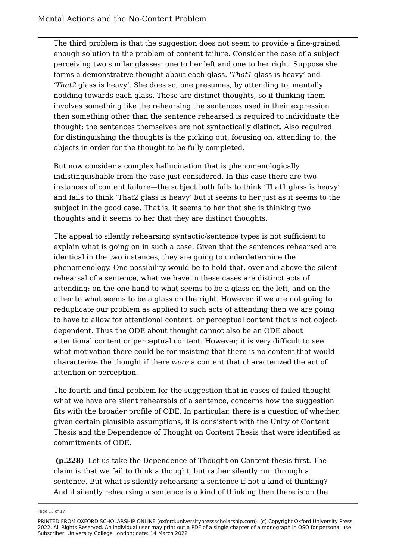The third problem is that the suggestion does not seem to provide a fine‐grained enough solution to the problem of content failure. Consider the case of a subject perceiving two similar glasses: one to her left and one to her right. Suppose she forms a demonstrative thought about each glass. '*That1* glass is heavy' and '*That2* glass is heavy'. She does so, one presumes, by attending to, mentally nodding towards each glass. These are distinct thoughts, so if thinking them involves something like the rehearsing the sentences used in their expression then something other than the sentence rehearsed is required to individuate the thought: the sentences themselves are not syntactically distinct. Also required for distinguishing the thoughts is the picking out, focusing on, attending to, the objects in order for the thought to be fully completed.

But now consider a complex hallucination that is phenomenologically indistinguishable from the case just considered. In this case there are two instances of content failure—the subject both fails to think 'That1 glass is heavy' and fails to think 'That2 glass is heavy' but it seems to her just as it seems to the subject in the good case. That is, it seems to her that she is thinking two thoughts and it seems to her that they are distinct thoughts.

The appeal to silently rehearsing syntactic/sentence types is not sufficient to explain what is going on in such a case. Given that the sentences rehearsed are identical in the two instances, they are going to underdetermine the phenomenology. One possibility would be to hold that, over and above the silent rehearsal of a sentence, what we have in these cases are distinct acts of attending: on the one hand to what seems to be a glass on the left, and on the other to what seems to be a glass on the right. However, if we are not going to reduplicate our problem as applied to such acts of attending then we are going to have to allow for attentional content, or perceptual content that is not objectdependent. Thus the ODE about thought cannot also be an ODE about attentional content or perceptual content. However, it is very difficult to see what motivation there could be for insisting that there is no content that would characterize the thought if there *were* a content that characterized the act of attention or perception.

The fourth and final problem for the suggestion that in cases of failed thought what we have are silent rehearsals of a sentence, concerns how the suggestion fits with the broader profile of ODE. In particular, there is a question of whether, given certain plausible assumptions, it is consistent with the Unity of Content Thesis and the Dependence of Thought on Content Thesis that were identified as commitments of ODE.

 **(p.228)** Let us take the Dependence of Thought on Content thesis first. The claim is that we fail to think a thought, but rather silently run through a sentence. But what is silently rehearsing a sentence if not a kind of thinking? And if silently rehearsing a sentence is a kind of thinking then there is on the

Page 13 of 17

PRINTED FROM OXFORD SCHOLARSHIP ONLINE (oxford.universitypressscholarship.com). (c) Copyright Oxford University Press, 2022. All Rights Reserved. An individual user may print out a PDF of a single chapter of a monograph in OSO for personal use. Subscriber: University College London; date: 14 March 2022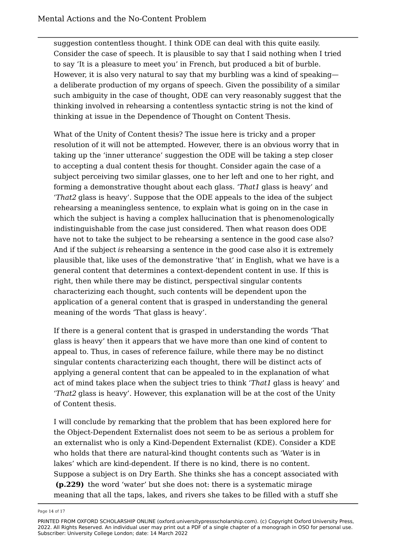suggestion contentless thought. I think ODE can deal with this quite easily. Consider the case of speech. It is plausible to say that I said nothing when I tried to say 'It is a pleasure to meet you' in French, but produced a bit of burble. However, it is also very natural to say that my burbling was a kind of speaking a deliberate production of my organs of speech. Given the possibility of a similar such ambiguity in the case of thought, ODE can very reasonably suggest that the thinking involved in rehearsing a contentless syntactic string is not the kind of thinking at issue in the Dependence of Thought on Content Thesis.

What of the Unity of Content thesis? The issue here is tricky and a proper resolution of it will not be attempted. However, there is an obvious worry that in taking up the 'inner utterance' suggestion the ODE will be taking a step closer to accepting a dual content thesis for thought. Consider again the case of a subject perceiving two similar glasses, one to her left and one to her right, and forming a demonstrative thought about each glass. '*That1* glass is heavy' and '*That2* glass is heavy'. Suppose that the ODE appeals to the idea of the subject rehearsing a meaningless sentence, to explain what is going on in the case in which the subject is having a complex hallucination that is phenomenologically indistinguishable from the case just considered. Then what reason does ODE have not to take the subject to be rehearsing a sentence in the good case also? And if the subject *is* rehearsing a sentence in the good case also it is extremely plausible that, like uses of the demonstrative 'that' in English, what we have is a general content that determines a context‐dependent content in use. If this is right, then while there may be distinct, perspectival singular contents characterizing each thought, such contents will be dependent upon the application of a general content that is grasped in understanding the general meaning of the words 'That glass is heavy'.

If there is a general content that is grasped in understanding the words 'That glass is heavy' then it appears that we have more than one kind of content to appeal to. Thus, in cases of reference failure, while there may be no distinct singular contents characterizing each thought, there will be distinct acts of applying a general content that can be appealed to in the explanation of what act of mind takes place when the subject tries to think '*That1* glass is heavy' and '*That2* glass is heavy'. However, this explanation will be at the cost of the Unity of Content thesis.

I will conclude by remarking that the problem that has been explored here for the Object‐Dependent Externalist does not seem to be as serious a problem for an externalist who is only a Kind‐Dependent Externalist (KDE). Consider a KDE who holds that there are natural-kind thought contents such as 'Water is in lakes' which are kind‐dependent. If there is no kind, there is no content. Suppose a subject is on Dry Earth. She thinks she has a concept associated with **(p.229)** the word 'water' but she does not: there is a systematic mirage meaning that all the taps, lakes, and rivers she takes to be filled with a stuff she

Page 14 of 17

PRINTED FROM OXFORD SCHOLARSHIP ONLINE (oxford.universitypressscholarship.com). (c) Copyright Oxford University Press, 2022. All Rights Reserved. An individual user may print out a PDF of a single chapter of a monograph in OSO for personal use. Subscriber: University College London; date: 14 March 2022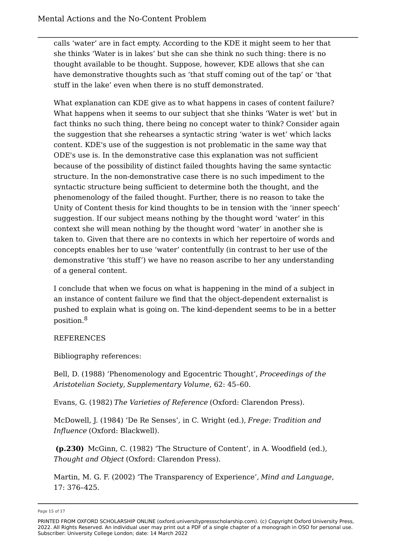calls 'water' are in fact empty. According to the KDE it might seem to her that she thinks 'Water is in lakes' but she can she think no such thing: there is no thought available to be thought. Suppose, however, KDE allows that she can have demonstrative thoughts such as 'that stuff coming out of the tap' or 'that stuff in the lake' even when there is no stuff demonstrated.

What explanation can KDE give as to what happens in cases of content failure? What happens when it seems to our subject that she thinks 'Water is wet' but in fact thinks no such thing, there being no concept water to think? Consider again the suggestion that she rehearses a syntactic string 'water is wet' which lacks content. KDE's use of the suggestion is not problematic in the same way that ODE's use is. In the demonstrative case this explanation was not sufficient because of the possibility of distinct failed thoughts having the same syntactic structure. In the non‐demonstrative case there is no such impediment to the syntactic structure being sufficient to determine both the thought, and the phenomenology of the failed thought. Further, there is no reason to take the Unity of Content thesis for kind thoughts to be in tension with the 'inner speech' suggestion. If our subject means nothing by the thought word 'water' in this context she will mean nothing by the thought word 'water' in another she is taken to. Given that there are no contexts in which her repertoire of words and concepts enables her to use 'water' contentfully (in contrast to her use of the demonstrative 'this stuff') we have no reason ascribe to her any understanding of a general content.

I conclude that when we focus on what is happening in the mind of a subject in an instance of content failure we find that the object‐dependent externalist is pushed to explain what is going on. The kind‐dependent seems to be in a better position.[8](#page-16-0)

# <span id="page-14-0"></span>**REFERENCES**

Bibliography references:

Bell, D. (1988) 'Phenomenology and Egocentric Thought', *Proceedings of the Aristotelian Society*, *Supplementary Volume*, 62: 45–60.

Evans, G. (1982) *The Varieties of Reference* (Oxford: Clarendon Press).

McDowell, J. (1984) 'De Re Senses', in C. Wright (ed.), *Frege: Tradition and Influence* (Oxford: Blackwell).

 **(p.230)** McGinn, C. (1982) 'The Structure of Content', in A. Woodfield (ed.), *Thought and Object* (Oxford: Clarendon Press).

Martin, M. G. F. (2002) 'The Transparency of Experience', *Mind and Language*, 17: 376–425.

Page 15 of 17

PRINTED FROM OXFORD SCHOLARSHIP ONLINE (oxford.universitypressscholarship.com). (c) Copyright Oxford University Press, 2022. All Rights Reserved. An individual user may print out a PDF of a single chapter of a monograph in OSO for personal use. Subscriber: University College London; date: 14 March 2022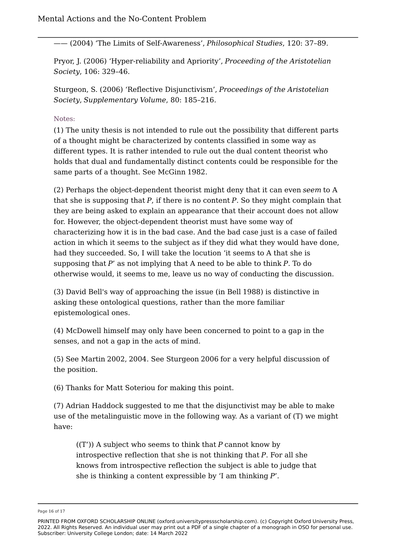—— (2004) 'The Limits of Self‐Awareness', *Philosophical Studies*, 120: 37–89.

Pryor, J. (2006) 'Hyper‐reliability and Apriority', *Proceeding of the Aristotelian Society*, 106: 329–46.

Sturgeon, S. (2006) 'Reflective Disjunctivism', *Proceedings of the Aristotelian Society*, *Supplementary Volume*, 80: 185–216.

# Notes:

<span id="page-15-0"></span>([1\)](#page-1-0) The unity thesis is not intended to rule out the possibility that different parts of a thought might be characterized by contents classified in some way as different types. It is rather intended to rule out the dual content theorist who holds that dual and fundamentally distinct contents could be responsible for the same parts of a thought. See McGinn [1982.](https://oxford.universitypressscholarship.com/view/10.1093/acprof:oso/9780199225989.001.0001/acprof-9780199225989-chapter-11#acprof-9780199225989-bibItem-202)

<span id="page-15-1"></span>([2](#page-2-0)) Perhaps the object‐dependent theorist might deny that it can even *seem* to A that she is supposing that *P*, if there is no content *P*. So they might complain that they are being asked to explain an appearance that their account does not allow for. However, the object-dependent theorist must have some way of characterizing how it is in the bad case. And the bad case just is a case of failed action in which it seems to the subject as if they did what they would have done, had they succeeded. So, I will take the locution 'it seems to A that she is supposing that *P*' as not implying that A need to be able to think *P*. To do otherwise would, it seems to me, leave us no way of conducting the discussion.

<span id="page-15-2"></span>([3\)](#page-3-0) David Bell's way of approaching the issue (in Bell [1988\)](https://oxford.universitypressscholarship.com/view/10.1093/acprof:oso/9780199225989.001.0001/acprof-9780199225989-chapter-11#acprof-9780199225989-bibItem-199) is distinctive in asking these ontological questions, rather than the more familiar epistemological ones.

<span id="page-15-3"></span>([4\)](#page-3-1) McDowell himself may only have been concerned to point to a gap in the senses, and not a gap in the acts of mind.

<span id="page-15-4"></span>([5\)](#page-6-0) See Martin [2002,](https://oxford.universitypressscholarship.com/view/10.1093/acprof:oso/9780199225989.001.0001/acprof-9780199225989-chapter-11#acprof-9780199225989-bibItem-203) [2004](https://oxford.universitypressscholarship.com/view/10.1093/acprof:oso/9780199225989.001.0001/acprof-9780199225989-chapter-11#acprof-9780199225989-bibItem-204). See Sturgeon [2006](https://oxford.universitypressscholarship.com/view/10.1093/acprof:oso/9780199225989.001.0001/acprof-9780199225989-chapter-11#acprof-9780199225989-bibItem-206) for a very helpful discussion of the position.

<span id="page-15-5"></span>([6\)](#page-9-0) Thanks for Matt Soteriou for making this point.

<span id="page-15-6"></span>([7\)](#page-10-0) Adrian Haddock suggested to me that the disjunctivist may be able to make use of the metalinguistic move in the following way. As a variant of (T) we might have:

([\(T'\)](#page-10-0)) A subject who seems to think that *P* cannot know by introspective reflection that she is not thinking that *P*. For all she knows from introspective reflection the subject is able to judge that she is thinking a content expressible by 'I am thinking *P*'.

Page 16 of 17